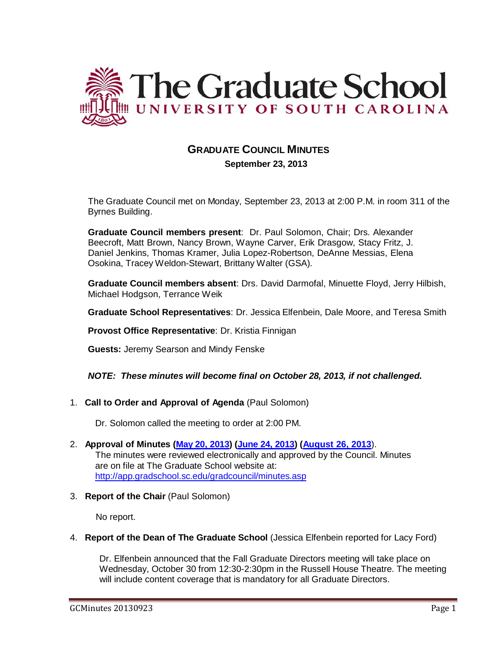

# **GRADUATE COUNCIL MINUTES September 23, 2013**

The Graduate Council met on Monday, September 23, 2013 at 2:00 P.M. in room 311 of the Byrnes Building.

**Graduate Council members present**: Dr. Paul Solomon, Chair; Drs. Alexander Beecroft, Matt Brown, Nancy Brown, Wayne Carver, Erik Drasgow, Stacy Fritz, J. Daniel Jenkins, Thomas Kramer, Julia Lopez-Robertson, DeAnne Messias, Elena Osokina, Tracey Weldon-Stewart, Brittany Walter (GSA).

**Graduate Council members absent**: Drs. David Darmofal, Minuette Floyd, Jerry Hilbish, Michael Hodgson, Terrance Weik

**Graduate School Representatives**: Dr. Jessica Elfenbein, Dale Moore, and Teresa Smith

**Provost Office Representative**: Dr. Kristia Finnigan

**Guests:** Jeremy Searson and Mindy Fenske

#### *NOTE: These minutes will become final on October 28, 2013, if not challenged.*

1. **Call to Order and Approval of Agenda** (Paul Solomon)

Dr. Solomon called the meeting to order at 2:00 PM.

- 2. **Approval of Minutes (May 20, [2013\)](http://gradschool.sc.edu/facstaff/gradcouncil/2012/May%2020%202013%20Minutesdmfinal.pdf) [\(June](http://gradschool.sc.edu/facstaff/gradcouncil/2012/GC%20Minutes%20June%2024%202013.pdf) 24, 2013) [\(August](http://gradschool.sc.edu/facstaff/gradcouncil/2013/August%2026%202013%20Minutesdmfinal.pdf) 26, 2013**). The minutes were reviewed electronically and approved by the Council. Minutes are on file at The Graduate School website at: <http://app.gradschool.sc.edu/gradcouncil/minutes.asp>
- 3. **Report of the Chair** (Paul Solomon)

No report.

4. **Report of the Dean of The Graduate School** (Jessica Elfenbein reported for Lacy Ford)

Dr. Elfenbein announced that the Fall Graduate Directors meeting will take place on Wednesday, October 30 from 12:30-2:30pm in the Russell House Theatre. The meeting will include content coverage that is mandatory for all Graduate Directors.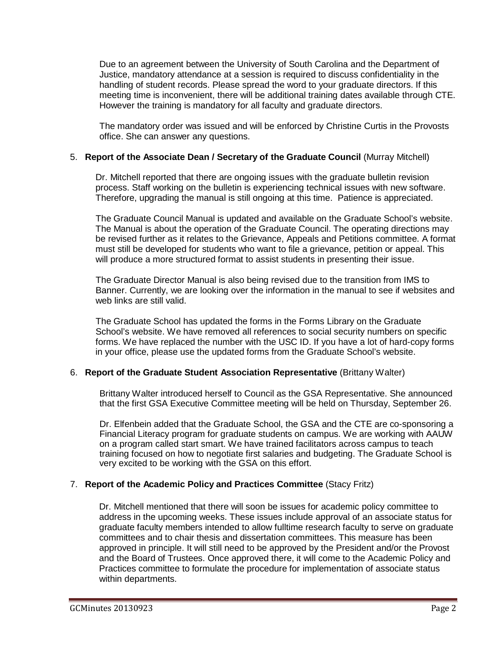Due to an agreement between the University of South Carolina and the Department of Justice, mandatory attendance at a session is required to discuss confidentiality in the handling of student records. Please spread the word to your graduate directors. If this meeting time is inconvenient, there will be additional training dates available through CTE. However the training is mandatory for all faculty and graduate directors.

The mandatory order was issued and will be enforced by Christine Curtis in the Provosts office. She can answer any questions.

#### 5. **Report of the Associate Dean / Secretary of the Graduate Council** (Murray Mitchell)

Dr. Mitchell reported that there are ongoing issues with the graduate bulletin revision process. Staff working on the bulletin is experiencing technical issues with new software. Therefore, upgrading the manual is still ongoing at this time. Patience is appreciated.

The Graduate Council Manual is updated and available on the Graduate School's website. The Manual is about the operation of the Graduate Council. The operating directions may be revised further as it relates to the Grievance, Appeals and Petitions committee. A format must still be developed for students who want to file a grievance, petition or appeal. This will produce a more structured format to assist students in presenting their issue.

The Graduate Director Manual is also being revised due to the transition from IMS to Banner. Currently, we are looking over the information in the manual to see if websites and web links are still valid.

The Graduate School has updated the forms in the Forms Library on the Graduate School's website. We have removed all references to social security numbers on specific forms. We have replaced the number with the USC ID. If you have a lot of hard-copy forms in your office, please use the updated forms from the Graduate School's website.

#### 6. **Report of the Graduate Student Association Representative** (Brittany Walter)

Brittany Walter introduced herself to Council as the GSA Representative. She announced that the first GSA Executive Committee meeting will be held on Thursday, September 26.

Dr. Elfenbein added that the Graduate School, the GSA and the CTE are co-sponsoring a Financial Literacy program for graduate students on campus. We are working with AAUW on a program called start smart. We have trained facilitators across campus to teach training focused on how to negotiate first salaries and budgeting. The Graduate School is very excited to be working with the GSA on this effort.

#### 7. **Report of the Academic Policy and Practices Committee** (Stacy Fritz)

Dr. Mitchell mentioned that there will soon be issues for academic policy committee to address in the upcoming weeks. These issues include approval of an associate status for graduate faculty members intended to allow fulltime research faculty to serve on graduate committees and to chair thesis and dissertation committees. This measure has been approved in principle. It will still need to be approved by the President and/or the Provost and the Board of Trustees. Once approved there, it will come to the Academic Policy and Practices committee to formulate the procedure for implementation of associate status within departments.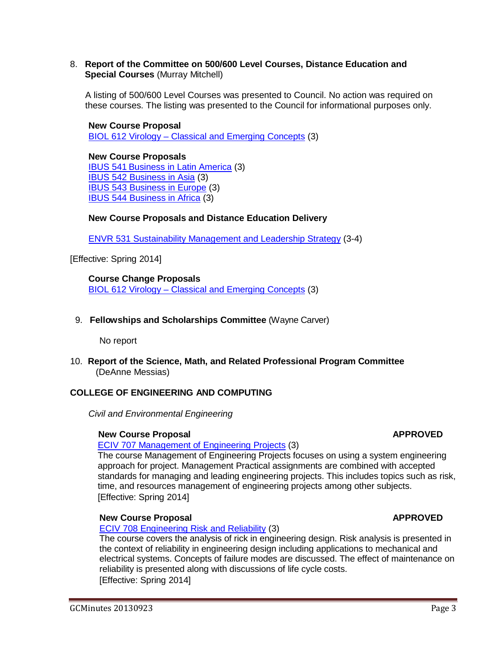#### 8. **Report of the Committee on 500/600 Level Courses, Distance Education and Special Courses** (Murray Mitchell)

A listing of 500/600 Level Courses was presented to Council. No action was required on these courses. The listing was presented to the Council for informational purposes only.

**New Course Proposal** BIOL 612 Virology – Classical and Emerging Concepts (3)

### **New Course Proposals**

IBUS 541 Business in Latin America (3) IBUS 542 Business in Asia (3) IBUS 543 Business in Europe (3) IBUS 544 Business in Africa (3)

#### **New Course Proposals and Distance Education Delivery**

ENVR 531 Sustainability Management and Leadership Strategy (3-4)

[Effective: Spring 2014]

**Course Change Proposals** BIOL 612 Virology – Classical and Emerging Concepts (3)

9. **Fellowships and Scholarships Committee** (Wayne Carver)

No report

10. **Report of the Science, Math, and Related Professional Program Committee** (DeAnne Messias)

#### **COLLEGE OF ENGINEERING AND COMPUTING**

*Civil and Environmental Engineering*

#### **New Course Proposal APPROVED**

#### ECIV 707 Management of Engineering Projects (3)

The course Management of Engineering Projects focuses on using a system engineering approach for project. Management Practical assignments are combined with accepted standards for managing and leading engineering projects. This includes topics such as risk, time, and resources management of engineering projects among other subjects. [Effective: Spring 2014]

#### **New Course Proposal APPROVED**

ECIV 708 Engineering Risk and Reliability (3)

The course covers the analysis of rick in engineering design. Risk analysis is presented in the context of reliability in engineering design including applications to mechanical and electrical systems. Concepts of failure modes are discussed. The effect of maintenance on reliability is presented along with discussions of life cycle costs. [Effective: Spring 2014]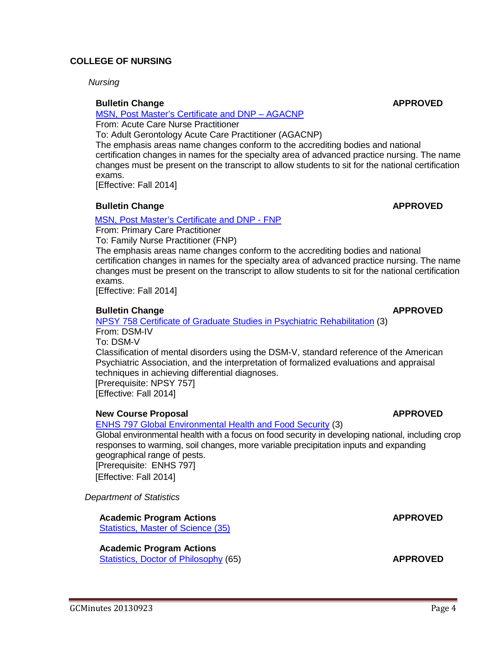#### **COLLEGE OF NURSING**

*Nursing*

#### **Bulletin Change APPROVED**

#### MSN, Post Master's [Certificate](http://gradschool.sc.edu/facstaff/gradcouncil/2013/813%20BCH%20MSN%20Post%20Masters%20Certificate%20and%20DNP-AGACNP_Redacted.pdf) and DNP – AGACNP

From: Acute Care Nurse Practitioner

To: Adult Gerontology Acute Care Practitioner (AGACNP)

The emphasis areas name changes conform to the accrediting bodies and national certification changes in names for the specialty area of advanced practice nursing. The name changes must be present on the transcript to allow students to sit for the national certification exams.

[Effective: Fall 2014]

#### **Bulletin Change APPROVED**

#### MSN, Post Master's [Certificate](http://gradschool.sc.edu/facstaff/gradcouncil/2013/814%20PCH%20MSN%2C%20Post%20Master%27s%20Certificate%20and%20DNP-FNP_Redacted.pdf) and DNP - FNP

From: Primary Care Practitioner To: Family Nurse Practitioner (FNP)

The emphasis areas name changes conform to the accrediting bodies and national certification changes in names for the specialty area of advanced practice nursing. The name changes must be present on the transcript to allow students to sit for the national certification exams.

[Effective: Fall 2014]

#### **Bulletin Change APPROVED**

NPSY 758 Certificate of Graduate Studies in Psychiatric Rehabilitation (3) From: DSM-IV

To: DSM-V Classification of mental disorders using the DSM-V, standard reference of the American Psychiatric Association, and the interpretation of formalized evaluations and appraisal techniques in achieving differential diagnoses.

 [Prerequisite: NPSY 757] [Effective: Fall 2014]

#### **New Course Proposal APPROVED**

ENHS 797 [Global Environmental Health](http://gradschool.sc.edu/facstaff/gradcouncil/2013/ENHS%20797%20NCP%20for%208-26-13_Redacted.pdf) and Food Security (3)

Global environmental health with a focus on food security in developing national, including crop responses to warming, soil changes, more variable precipitation inputs and expanding geographical range of pests. [Prerequisite: ENHS 797] [Effective: Fall 2014]

*Department of Statistics*

**Academic Program Actions APPROVED**

[Statistics,](http://gradschool.sc.edu/facstaff/gradcouncil/2013/Statistics%20MS_Redacted.pdf) Master of Science (35)

**Academic Program Actions** Statistics, Doctor of Philosophy (65) **APPROVED**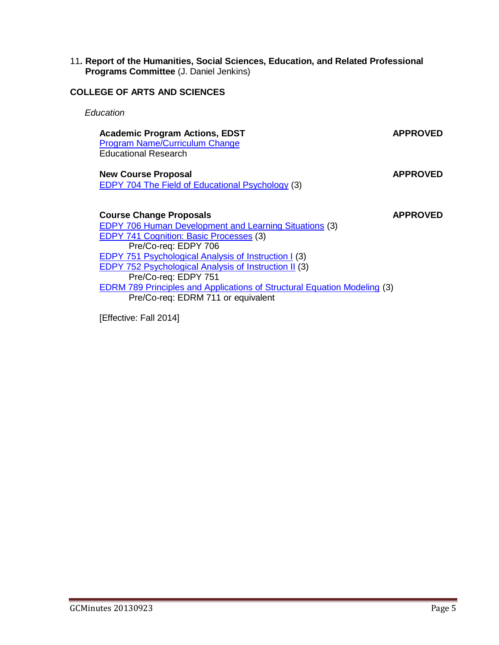#### 11**. Report of the Humanities, Social Sciences, Education, and Related Professional Programs Committee** (J. Daniel Jenkins)

### **COLLEGE OF ARTS AND SCIENCES**

*Education*

# **Academic Program Actions, EDST APPROVED**

[Program Name/Curriculum](http://gradschool.sc.edu/facstaff/gradcouncil/2013/APA%2C%20Program%20Name%20Change_Redacted.pdf) Change Educational Research

**New Course Proposal <b>APPROVED** EDPY 704 The Field [of Educational](http://gradschool.sc.edu/facstaff/gradcouncil/2013/EDPY%20704%20NCP%207-30-13_Redacted.pdf) Psychology (3)

#### **Course Change Proposals APPROVED**

EDPY 706 Human [Development and](http://gradschool.sc.edu/facstaff/gradcouncil/2013/EDPY%20706%20CCP%207-30-13_Redacted.pdf) Learning Situations (3) [EDPY 741](http://gradschool.sc.edu/facstaff/gradcouncil/2013/EDPY%20741%20CCP%207-30-13_Redacted.pdf) Cognition: Basic Processes (3) Pre/Co-req: EDPY 706 EDPY 751 [Psychological Analysis](http://gradschool.sc.edu/facstaff/gradcouncil/2013/EDPY%20751%20CCP%207-30-13_Redacted.pdf) of Instruction I (3) EDPY 752 [Psychological Analysis](http://gradschool.sc.edu/facstaff/gradcouncil/2013/EDPY%20752%20CCP%207-30-13_Redacted.pdf) of Instruction II (3) Pre/Co-req: EDPY 751 EDRM 789 Principles and Applications of [Structural Equation](http://gradschool.sc.edu/facstaff/gradcouncil/2013/EDRM%20789%20CCP%207-30-13_Redacted.pdf) Modeling (3) Pre/Co-req: EDRM 711 or equivalent

[Effective: Fall 2014]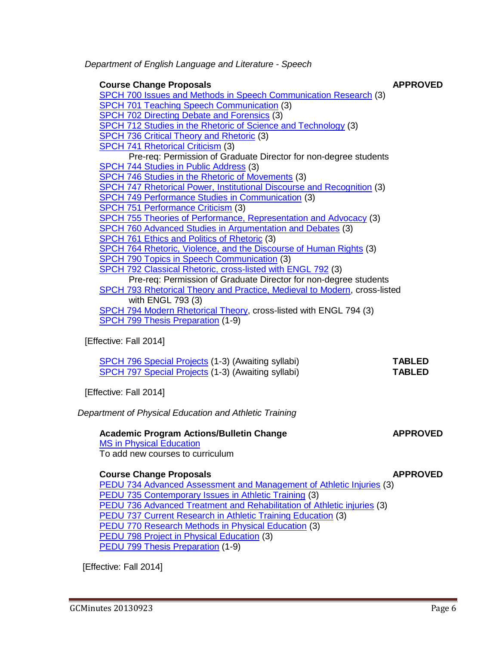SPCH 741 [Rhetorical Criticism](http://gradschool.sc.edu/facstaff/gradcouncil/2013/814%20CCP%20SPCH%20741%20BCH%20JUS_Redacted.pdf) (3) Pre-req: Permission of Graduate Director for non-degree students [SPCH 744](http://gradschool.sc.edu/facstaff/gradcouncil/2013/814%20CCP%20SPCH%20744%20BCH%20JUS_Redacted.pdf) Studies in Public Address (3) SPCH 746 Studies in the Rhetoric of [Movements](http://gradschool.sc.edu/facstaff/gradcouncil/2013/814%20CCP%20SPCH%20746%20%20BCH%20JUS_Redacted.pdf) (3) SPCH 747 Rhetorical Power, [Institutional Discourse](http://gradschool.sc.edu/facstaff/gradcouncil/2013/814%20NCP%20SPCH%20747%20JUS_Redacted.pdf) and Recognition (3) SPCH 749 Performance Studies in [Communication](http://gradschool.sc.edu/facstaff/gradcouncil/2013/814%20CCP%20SPCH%20749%20BCH%20JUS_Redacted.pdf) (3) SPCH 751 [Performance](http://gradschool.sc.edu/facstaff/gradcouncil/2013/814%20NCP%20SPCH%20751%20JUS_Redacted.pdf) Criticism (3) SPCH 755 Theories of Performance, [Representation](http://gradschool.sc.edu/facstaff/gradcouncil/2013/814%20NCP%20SPCH%20755%20JUS_Redacted.pdf) and Advocacy (3) SPCH 760 Advanced Studies in [Argumentation](http://gradschool.sc.edu/facstaff/gradcouncil/2013/814%20CCP%20SPCH%20760%20BCH%20JUS_Redacted.pdf) and Debates (3) [SPCH 761](http://gradschool.sc.edu/facstaff/gradcouncil/2013/814%20NCP%20SPCH%20761%20JUS_Redacted.pdf) Ethics and Politics of Rhetoric (3) SPCH 764 Rhetoric, Violence, and the [Discourse](http://gradschool.sc.edu/facstaff/gradcouncil/2013/814%20NCP%20SPCH%20764%20JUS_Redacted.pdf) of Human Rights (3) SPCH 790 Topics in Speech [Communication](http://gradschool.sc.edu/facstaff/gradcouncil/2013/814%20CCP%20SPCH%20790%20BCH%20JUS_Redacted.pdf) (3) SPCH 792 [Classical Rhetoric, cross-listed](http://gradschool.sc.edu/facstaff/gradcouncil/2013/815%20spch-engl%20792%20crosslist%20ccp_Redacted.pdf) with ENGL 792 (3) Pre-req: Permission of Graduate Director for non-degree students SPCH 793 Rhetorical Theory and [Practice, Medieval to](http://gradschool.sc.edu/facstaff/gradcouncil/2013/815%20spch-engl%20793%20crosslist%20ccp_Redacted.pdf) Modern, cross-listed with ENGL 793 (3) SPCH 794 Modern [Rhetorical Theory,](http://gradschool.sc.edu/facstaff/gradcouncil/2013/815%20spch-engl%20794%20crosslist%20ccp_Redacted.pdf) cross-listed with ENGL 794 (3) SPCH 799 Thesis [Preparation](http://gradschool.sc.edu/facstaff/gradcouncil/2013/815%20spch%20799%20Thesis%20Preparation%20ccp_Redacted.pdf) (1-9)

*Department of English Language and Literature - Speech*

SPCH 701 Teaching Speech [Communication](http://gradschool.sc.edu/facstaff/gradcouncil/2013/814%20CCP%20SPCH%20701%20BCH%20JUS_Redacted.pdf) (3) [SPCH 702](http://gradschool.sc.edu/facstaff/gradcouncil/2013/814%20CCP%20SPCH%20702%20JUS_Redacted.pdf) Directing Debate and Forensics (3)

[SPCH 736](http://gradschool.sc.edu/facstaff/gradcouncil/2013/814%20NCP%20SPCH%20736%20JUS_Redacted.pdf) Critical Theory and Rhetoric (3)

## [Effective: Fall 2014]

| <b>SPCH 796 Special Projects (1-3) (Awaiting syllabi)</b> | <b>TABLED</b> |
|-----------------------------------------------------------|---------------|
| <b>SPCH 797 Special Projects (1-3) (Awaiting syllabi)</b> | <b>TABLED</b> |

**Course Change Proposals APPROVED**

SPCH 700 Issues and Methods in Speech [Communication](http://gradschool.sc.edu/facstaff/gradcouncil/2013/814%20CCP%20SPCH%20700%20BCH%20JUS_Redacted.pdf) Research (3)

SPCH 712 Studies in the Rhetoric of Science and [Technology](http://gradschool.sc.edu/facstaff/gradcouncil/2013/814%20CCP%20SPCH%20712%20BCH%20JUS_Redacted.pdf) (3)

[Effective: Fall 2014]

*Department of Physical Education and Athletic Training*

## **Academic Program Actions/Bulletin Change APPROVED**

# MS in [Physical Education](http://gradschool.sc.edu/facstaff/gradcouncil/2013/MS%20in%20Physical%20Education%20APA%20BCH_Redacted.pdf)

To add new courses to curriculum

## **Course Change Proposals APPROVED**

PEDU 734 Advanced Assessment and [Management](http://gradschool.sc.edu/facstaff/gradcouncil/2013/PEDU%20734%20CCP%204-2-13_Redacted.pdf) of Athletic Injuries (3) PEDU 735 [Contemporary](http://gradschool.sc.edu/facstaff/gradcouncil/2013/PEDU%20735%20Contemporary%20Issues%20in%20Athletic%20Training%20CCP%20BCH_Redacted%208-1-13.pdf) Issues in Athletic Training (3) PEDU 736 Advanced Treatment and [Rehabilitation](http://gradschool.sc.edu/facstaff/gradcouncil/2013/PEDU%20736%20Advanced%20Treatment%20and%20Rehabilitation%20of%20Athletic%20Injuries%20CCP%20BCH%208-1-13.pdf) of Athletic injuries (3) [PEDU 737](http://gradschool.sc.edu/facstaff/gradcouncil/2013/PEDU%20737%20Current%20Research%20in%20Athletic%20Training%20Education%20CCP%20BCH%208-1-13.pdf) Current Research in Athletic Training Education (3) PEDU 770 Research Methods in [Physical Education](http://gradschool.sc.edu/facstaff/gradcouncil/2013/PEDU%20770%20Research%20Methods%20in%20Physical%20Education%20CCP%20BCH.pdf) (3) PEDU 798 Project in [Physical Education](http://gradschool.sc.edu/facstaff/gradcouncil/2013/PEDU%20798%20Project%20in%20Physical%20Education%20CCP%20BCH.pdf) (3) PEDU 799 Thesis [Preparation](http://gradschool.sc.edu/facstaff/gradcouncil/2013/PEDU%20799%20Thesis%20Preparation%20CCP%20BCH.pdf) (1-9)

[Effective: Fall 2014]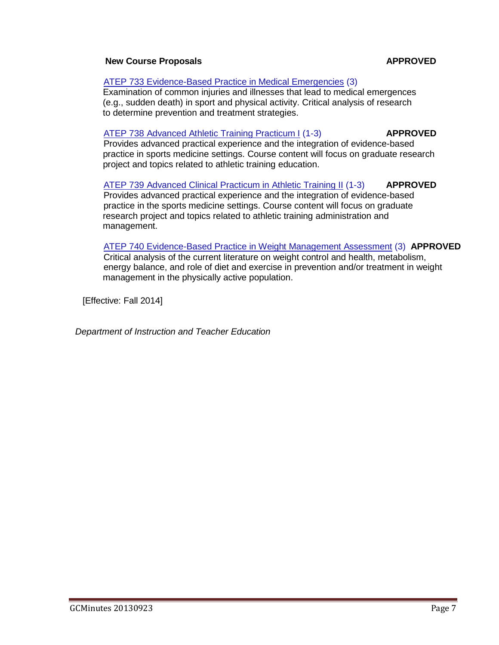#### **New Course Proposals APPROVED**

### ATEP 733 Evidence-Based Practice in [Medical Emergencies](http://gradschool.sc.edu/facstaff/gradcouncil/2013/ATEP%20733%20Evidence%20Based%20Practice%20in%20Medical%20Emergencies%20NCP.pdf) (3)

 Examination of common injuries and illnesses that lead to medical emergences (e.g., sudden death) in sport and physical activity. Critical analysis of research to determine prevention and treatment strategies.

# [ATEP 738](http://gradschool.sc.edu/facstaff/gradcouncil/2013/ATEP%20738%20Advanced%20Athletic%20Training%20Practicum%20I%20NCP.pdf) Advanced Athletic Training Practicum I (1-3) **APPROVED**

 Provides advanced practical experience and the integration of evidence-based practice in sports medicine settings. Course content will focus on graduate research project and topics related to athletic training education.

#### [ATEP 739](http://gradschool.sc.edu/facstaff/gradcouncil/2013/ATEP%20739%20Advanced%20Clinical%20Practicum%20in%20Athletic%20Training%20II%20NCP.pdf) Advanced Clinical Practicum in Athletic Training II (1-3) **APPROVED** Provides advanced practical experience and the integration of evidence-based practice in the sports medicine settings. Course content will focus on graduate research project and topics related to athletic training administration and management.

# ATEP 740 Evidence-Based Practice in [Weight Management](http://gradschool.sc.edu/facstaff/gradcouncil/2013/ATEP%20740%20Evidenced%20Based%20Practice%20in%20Weight%20Management%20Assessment%20NCP.pdf) Assessment (3) **APPROVED**

 Critical analysis of the current literature on weight control and health, metabolism, energy balance, and role of diet and exercise in prevention and/or treatment in weight management in the physically active population.

[Effective: Fall 2014]

*Department of Instruction and Teacher Education*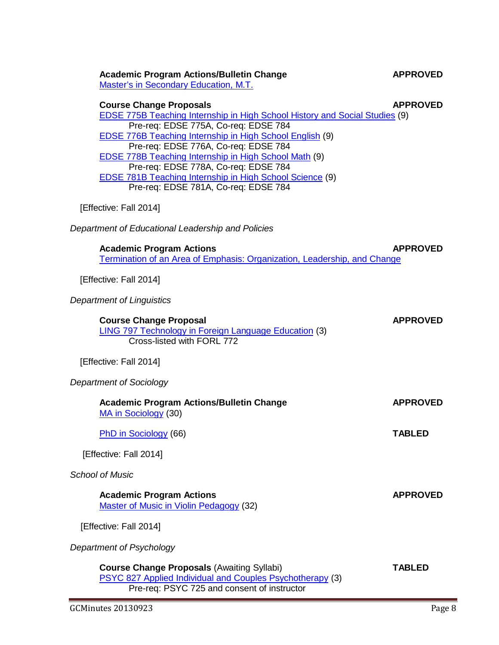### **Academic Program Actions/Bulletin Change APPROVED**

Master's in [Secondary](http://gradschool.sc.edu/facstaff/gradcouncil/2013/APA%20Secondary%20Education%20MT_Redacted.pdf) Education, M.T.

#### **Course Change Proposals APPROVED**

EDSE [775B Teaching](http://gradschool.sc.edu/facstaff/gradcouncil/2013/EDSE%20775B%20CCP-Redacted.pdf) Internship in High School History and Social Studies (9) Pre-req: EDSE 775A, Co-req: EDSE 784 EDSE [776B Teaching](http://gradschool.sc.edu/facstaff/gradcouncil/2013/EDSE%20776B%20CCP_Redacted.pdf) Internship in High School English (9) Pre-req: EDSE 776A, Co-req: EDSE 784 EDSE [778B Teaching](http://gradschool.sc.edu/facstaff/gradcouncil/2013/EDSE%20778B%20CCP_Redacted.pdf) Internship in High School Math (9) Pre-req: EDSE 778A, Co-req: EDSE 784 EDSE 781B Teaching Internship in High [School Science](http://gradschool.sc.edu/facstaff/gradcouncil/2013/EDSE%20781B%20CCP_Redacted.pdf) (9) Pre-req: EDSE 781A, Co-req: EDSE 784

[Effective: Fall 2014]

*Department of Educational Leadership and Policies*

**Academic Program Actions APPROVED** Termination of an Area of [Emphasis: Organization,](http://gradschool.sc.edu/facstaff/gradcouncil/2013/APA%20Termination%20of%20Area%20of%20Emphasis%207-31-13_Redacted.pdf) Leadership, and Change

[Effective: Fall 2014]

*Department of Linguistics*

| <b>Course Change Proposal</b><br><b>LING 797 Technology in Foreign Language Education (3)</b><br>Cross-listed with FORL 772 | <b>APPROVED</b> |
|-----------------------------------------------------------------------------------------------------------------------------|-----------------|
| [Effective: Fall 2014]                                                                                                      |                 |
| Department of Sociology                                                                                                     |                 |
| <b>Academic Program Actions/Bulletin Change</b><br>MA in Sociology (30)                                                     | <b>APPROVED</b> |
| PhD in Sociology (66)                                                                                                       | <b>TABLED</b>   |
| [Effective: Fall 2014]                                                                                                      |                 |
| School of Music                                                                                                             |                 |
| <b>Academic Program Actions</b><br><b>Master of Music in Violin Pedagogy (32)</b>                                           | <b>APPROVED</b> |
| [Effective: Fall 2014]                                                                                                      |                 |
| Department of Psychology                                                                                                    |                 |
| <b>Course Change Proposals (Awaiting Syllabi)</b><br>DSVC 827 Applied Individual and Couples Psychotherapy (3)              | TABLED          |

pplied Individual and Couples [Psychotherapy](http://gradschool.sc.edu/facstaff/gradcouncil/2013/PSYC%20827%20CCP%207-30-13_Redacted.pdf) (3) Pre-req: PSYC 725 and consent of instructor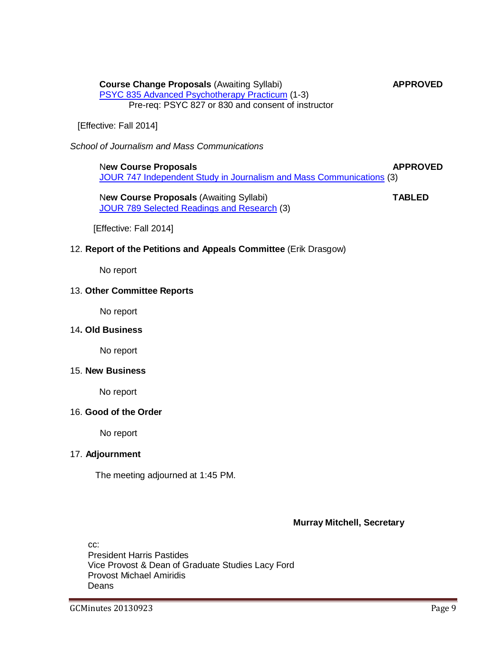**Course Change Proposals** (Awaiting Syllabi) **APPROVED** PSYC 835 Advanced [Psychotherapy](http://gradschool.sc.edu/facstaff/gradcouncil/2013/PSYC%20835%20CCP%207-30-13_Redacted.pdf) Practicum (1-3) Pre-req: PSYC 827 or 830 and consent of instructor

[Effective: Fall 2014]

*School of Journalism and Mass Communications*

N**ew Course Proposals APPROVED** JOUR 747 [Independent Study](http://gradschool.sc.edu/facstaff/gradcouncil/2013/JOUR%20747%20NCP%207-30-13_Redacted.pdf) in Journalism and Mass Communications (3)

N**ew Course Proposals** (Awaiting Syllabi) **TABLED** JOUR 789 Selected Readings and [Research](http://gradschool.sc.edu/facstaff/gradcouncil/2013/JOUR%20789%20NCP%207-30-13_Redacted.pdf) (3)

[Effective: Fall 2014]

#### 12. **Report of the Petitions and Appeals Committee** (Erik Drasgow)

No report

#### 13. **Other Committee Reports**

No report

#### 14**. Old Business**

No report

#### 15. **New Business**

No report

#### 16. **Good of the Order**

No report

#### 17. **Adjournment**

The meeting adjourned at 1:45 PM.

#### **Murray Mitchell, Secretary**

cc: President Harris Pastides Vice Provost & Dean of Graduate Studies Lacy Ford Provost Michael Amiridis Deans